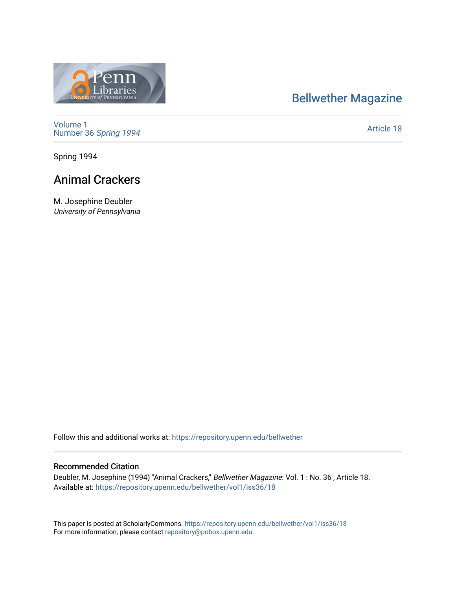# [Bellwether Magazine](https://repository.upenn.edu/bellwether)



[Volume 1](https://repository.upenn.edu/bellwether/vol1) [Number 36](https://repository.upenn.edu/bellwether/vol1/iss36) Spring 1994

[Article 18](https://repository.upenn.edu/bellwether/vol1/iss36/18) 

Spring 1994

# Animal Crackers

M. Josephine Deubler University of Pennsylvania

Follow this and additional works at: [https://repository.upenn.edu/bellwether](https://repository.upenn.edu/bellwether?utm_source=repository.upenn.edu%2Fbellwether%2Fvol1%2Fiss36%2F18&utm_medium=PDF&utm_campaign=PDFCoverPages) 

#### Recommended Citation

Deubler, M. Josephine (1994) "Animal Crackers," Bellwether Magazine: Vol. 1 : No. 36 , Article 18. Available at: [https://repository.upenn.edu/bellwether/vol1/iss36/18](https://repository.upenn.edu/bellwether/vol1/iss36/18?utm_source=repository.upenn.edu%2Fbellwether%2Fvol1%2Fiss36%2F18&utm_medium=PDF&utm_campaign=PDFCoverPages) 

This paper is posted at ScholarlyCommons.<https://repository.upenn.edu/bellwether/vol1/iss36/18> For more information, please contact [repository@pobox.upenn.edu.](mailto:repository@pobox.upenn.edu)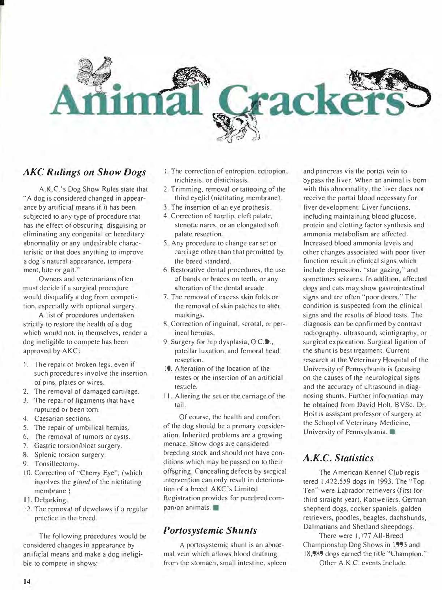

## AKC Rulings on Show Dogs

I

A.K.C. 's Dog Show Rules state that "A dog is considered changed in appearance by artificial means if it has been subjected to any type of procedure that has the effect of obscuring. disguising or eliminating any congenital or hereditary abnonnality or any undesirable characteristic or that does anything to improve a dog's natural appearance. temperament, bite or gait.''

Owners and veterinarians often must decide if a surgical procedure would disqualify a dog from competition, especially with optional surgery.

A list of procedures undertaken strictly to restore the health of a dog which would not, in themselves, render a dog ineligible to compete has been approved by AKC:

- 1. The repair of hroken legs, even if such procedures involve the insertion of pins. plates or wires.
- 2. The removal of damaged cartilage.
- 3. The repair of ligaments that have ruptured or been tom.
- 4. Caesarian sections.
- 5. The repair of umbilical hemias.
- 6. The removal of tumors or cysts.
- 7. Gastric torsion/bloat surgery.
- 8. Splenic torsion surgery.
- 9. Tonsillectomy.
- 10. Correction of "Cherry Eye", (which involves the gland of the nictitating membrane.)
- II. Debarking.
- 12. The removal of dewclaws if a regular practice in the breed.

The following procedures would be considered changes in appearance by artificial means and make a dog ineligible to compete in shows:

- I. The correction of entropion, ectropion, trichiasis. or distichia�is.
- 2. Trimming, removal or tattooing of the third eyelid (nictitating membrane).
- 3. The insenion of an eye prothesis.
- 4. Correction of harelip, cleft palate, stenotic nares. or an elongated soft palate resection.
- 5. Any procedure to change ear set or carriage other than that permitted by the breed standard.
- 6. Restorative dental procedures, the use of bands or braces on teeth, or any alteration of the dental arcade.
- 7. The removal of excess skin folds or the removal of skin patches to alter markings.
- 8. Correction of inguinal, scrotal, or perineal hernias.
- 9. Surgery for hip dysplasia, O.C.D., patellar luxation, and femoral head resection.
- 10. Alteration of the location of the testes or the insertion of an anificial testicle.
- ll. Altering the �et or the carriage of the tail.

Of course, the health and comfort of the dog should be a primary consideration. Inherited problems are a growing menace. Show dogs are considered breeding stock and should not have conditions which may be passed on to their offspring. Concealing defects by surgical intervention can only result in deterioration of a breed. AKC's Limited Registration provides for purebred companion animals.

## Portosystemic Shunts

A portosystemic shunl is an abnormal vein which allows blood dratning from the stomach, small intestine. spleen

and pancreas via the portal vein to bypass the liver. When an animal is born with this abnormality, the liver does not receive the portal blood necessary for liver development. Liver functions. including maintaining blood glucose, protein and clotting factor synthesis and ammonia metabolism are affected. Increased blood ammonia levels and other changes associated with poor liver function result in clinical signs which include depression. ''star gazing,'' and sometimes seizures. fn addition. affected dogs and cats may show gastrointestinal signs and are often "poor doers." The condition is suspected from the clinical signs and the results of blood tests. The diagnosis can be confirmed by contrast radiography, ultrasound, scintigraphy, or surgical exploration. Surgical ligation of the shunt is best treatment. Current research at the Veterinary Hospital of the University of Pennsylvania is focusing on the causes of the neurological signs and the accuracy of ultrasound in diagnosing shunts. Further information may be obtained from David Holt, BVSc. Dr. Holt is assistant professor of surgery ar the School of Veterinary Medicine. University of Pennsylvania.

## A.K.C. Statistics

The American Kennel Club registered 1.422.559 dogs in 1993. The '·Top Ten" were Labrador retrievers (first for third straight year), Rottweilers. German shepherd dogs, cocker spaniels, golden retrievers, poodles, beagles, dachshunds, Dalmatians and Shetland sheepdogs.

There were 1,177 All-Breed Champjonship Dog Shows in 1993 and 18,989 dogs earned the title "Champion." Other A.K.C. events include